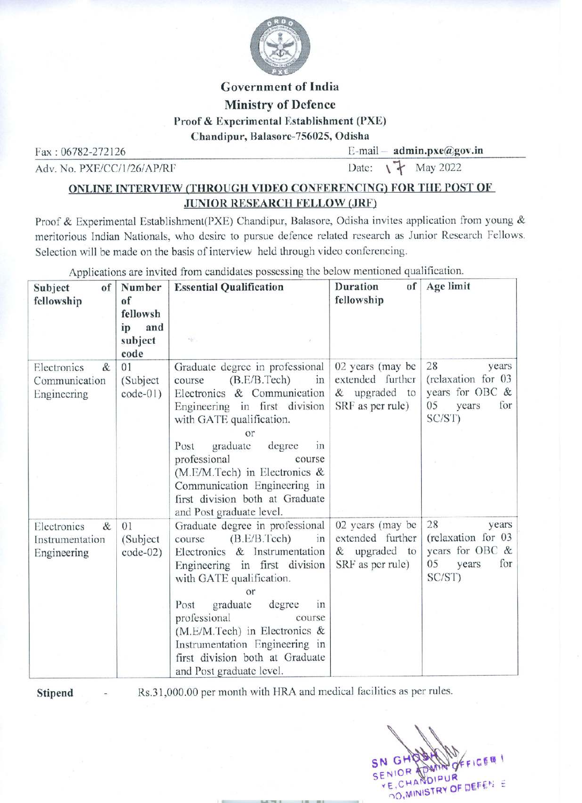

# Government of India Ministry of Defence Proof & Experimental Establishment (PXE) Governme<br>
Governme<br>
Ministry of & Experimental<br>
Chandipur, Balaso<br>
Fax: 06782-272126

# ONLINE INTERVIEW (THROUGH VIDEO CONFERENCING) FOR THE POST OF JUNIOR RESEARCH FELLOW (JRF)

Proof & Experimental Establishment(PXE) Chandipur, Balasore, Odisha invites application from young & meritorious Indian Nationals, who desire to pursue defence related research as Junior Research Fellows. Selection will be made on the basis of interview held through video conferencing. Governm<br>
Ministry<br>
Proof & Experiment<br>
Chandipur, Bala<br>
Fax : 06782-272126<br>
Adv. No. PXE/CC/1/26/AP/RF<br>
ONLINE INTERVIEW (THROUGH VID<br>
JUNIOR RESEAJ<br>
Proof & Experimental Establishment(PXE) Chandi<br>
Selection will be made o

| <b>Government of India</b><br><b>Ministry of Defence</b><br>Proof & Experimental Establishment (PXE)<br>Chandipur, Balasore-756025, Odisha<br>$E$ -mail – admin.pxe@gov.in<br>Fax: 06782-272126<br>Date: \ \ May 2022<br>Adv. No. PXE/CC/1/26/AP/RF                                                                                                                                        |                                                |                                                                                                                                                                                                                                                                                                                                                                                                   |                                                                           |                                                                                                   |
|--------------------------------------------------------------------------------------------------------------------------------------------------------------------------------------------------------------------------------------------------------------------------------------------------------------------------------------------------------------------------------------------|------------------------------------------------|---------------------------------------------------------------------------------------------------------------------------------------------------------------------------------------------------------------------------------------------------------------------------------------------------------------------------------------------------------------------------------------------------|---------------------------------------------------------------------------|---------------------------------------------------------------------------------------------------|
| ONLINE INTERVIEW (THROUGH VIDEO CONFERENCING) FOR THE POST OF<br><b>JUNIOR RESEARCH FELLOW (JRF)</b>                                                                                                                                                                                                                                                                                       |                                                |                                                                                                                                                                                                                                                                                                                                                                                                   |                                                                           |                                                                                                   |
| Proof & Experimental Establishment(PXE) Chandipur, Balasore, Odisha invites application from young<br>meritorious Indian Nationals, who desire to pursue defence related research as Junior Research Fellow<br>Selection will be made on the basis of interview held through video conferencing.<br>Applications are invited from candidates possessing the below mentioned qualification. |                                                |                                                                                                                                                                                                                                                                                                                                                                                                   |                                                                           |                                                                                                   |
| Subject<br>of                                                                                                                                                                                                                                                                                                                                                                              | Number                                         | <b>Essential Qualification</b>                                                                                                                                                                                                                                                                                                                                                                    | <b>Duration</b><br>of                                                     | Age limit                                                                                         |
| fellowship                                                                                                                                                                                                                                                                                                                                                                                 | of<br>fellowsh<br>ip<br>and<br>subject<br>code | $\gamma_{\rm{Q}}$                                                                                                                                                                                                                                                                                                                                                                                 | fellowship                                                                |                                                                                                   |
| Electronics<br>&<br>Communication<br>Engineering                                                                                                                                                                                                                                                                                                                                           | 01<br>(Subject)<br>$code-01)$                  | Graduate degree in professional<br>(B.E/B.Tech)<br>in<br>course<br>Electronics & Communication<br>Engineering in first division<br>with GATE qualification.<br>or<br>graduate<br>degree<br>Post<br><sub>1</sub> n<br>professional<br>course<br>$(M.E/M.Tech)$ in Electronics &<br>Communication Engineering in<br>first division both at Graduate                                                 | 02 years (may be<br>extended further<br>& upgraded to<br>SRF as per rule) | 28<br>years<br>(relaxation for 03<br>years for OBC &<br>05<br>for<br>years<br>SC/ST)              |
| Electronics<br>&<br>Instrumentation<br>Engineering                                                                                                                                                                                                                                                                                                                                         | 01<br>(Subject)<br>$code-02)$                  | and Post graduate level.<br>Graduate degree in professional<br>(B.E/B.Tech)<br>course<br>in<br>Electronics & Instrumentation<br>Engineering in first division<br>with GATE qualification.<br>or<br>graduate<br>degree<br>Post<br>in<br>professional<br>course<br>$(M.E/M.Tech)$ in Electronics &<br>Instrumentation Engineering in<br>first division both at Graduate<br>and Post graduate level. | 02 years (may be<br>extended further<br>& upgraded to<br>SRF as per rule) | 28<br>years<br>(relaxation for 03)<br>years for OBC &<br>0 <sub>5</sub><br>years<br>for<br>SC/ST) |
| Rs.31,000.00 per month with HRA and medical facilities as per rules.<br>Stipend<br>SN Gt<br>SENIOR<br>YE.CHANDIPUR<br>DO, MINISTRY OF DEFEN E                                                                                                                                                                                                                                              |                                                |                                                                                                                                                                                                                                                                                                                                                                                                   |                                                                           |                                                                                                   |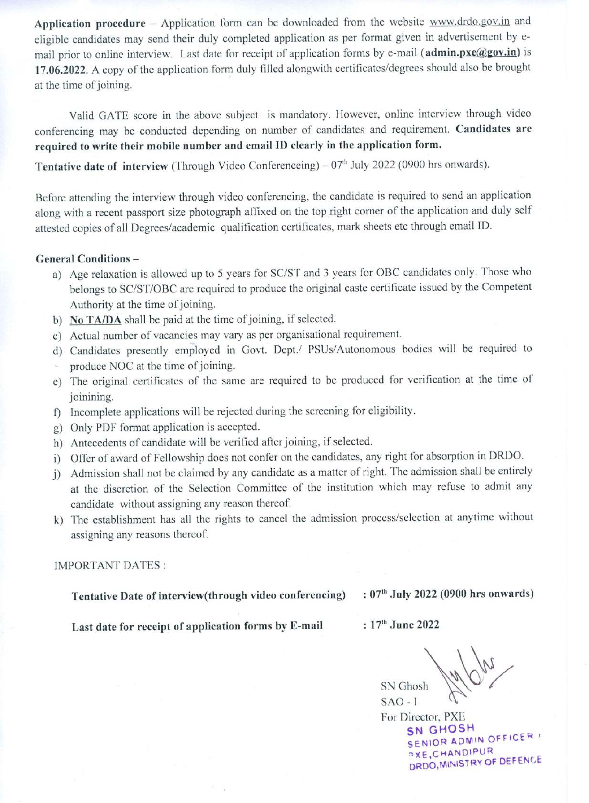Application procedure – Application form can be downloaded from the website www.drdo.gov.in and eligible candidates may send their duly completed application as per format given in advertisement by email prior to online interview. Last date for receipt of application forms by e-mail (admin.pxe@gov.in) is 17.06.2022. A copy of the application form duly filled alongwith certificates/degrees should also be brought at the time of joining.

Valid GATE score in the above subject is mandatory. However, online interview through video conferencing may be conducted depending on number of candidates and requirement. Candidates are required to write their mobile number and email ID clearly in the application form.

Tentative date of interview (Through Video Conferenceing) — 07" July 2022 (0900 hrs onwards).

Before attending the interview through video conferencing, the candidate is required to send an application along with a recent passport size photograph affixed on the top right corner of the application and duly self attested copies of all Degrees/academic qualification certificates, mark sheets etc through email ID.

### General Conditions —

- a) Age relaxation is allowed up to 5 years for SC/ST and 3 years for OBC candidates only. Those who belongs to SC/ST/OBC are required to produce the original caste certificate issued by the Competent Authority at the time of joining.
- b) No TA/DA shall be paid at the time of joining, if selected.
- c) Actual number of vacancies may vary as per organisational requirement.
- d) Candidates presently employed in Govt. Dept./ PSUs/Autonomous bodies will be required to
- produce NOC at the time of joining.
- e) The original certificates of the same are required to be produced for verification at the time of joinining.
- f) Incomplete applications will be rejected during the screening for eligibility.
- g) Only PDF format application is accepted.
- h) Antecedents of candidate will be verified after joining, if selected.
- i) Offer of award of Fellowship does not confer on the candidates, any right for absorption in DRDO.
- j) Admission shall not be claimed by any candidate as a matter of right. The admission shall be entirely at the discretion of the Selection Committee of the institution which may refuse to admit any candidate without assigning any reason thereof.
- k) The establishment has all the rights to cancel the admission process/selection at anytime without assigning any reasons thereof.

### IMPORTANT DATES :

Tentative Date of interview(through video conferencing) —: 07" July 2022 (0900 hrs onwards)

Last date for receipt of application forms by E-mail  $\qquad : 17<sup>th</sup>$  June 2022

SN Ghosh SAO - I

For Director, PXL SN GHOSH SENIOR ADMIN OFFICER aXE, CHANDIPUR DRDO, MINISTRY OF DEFENCE